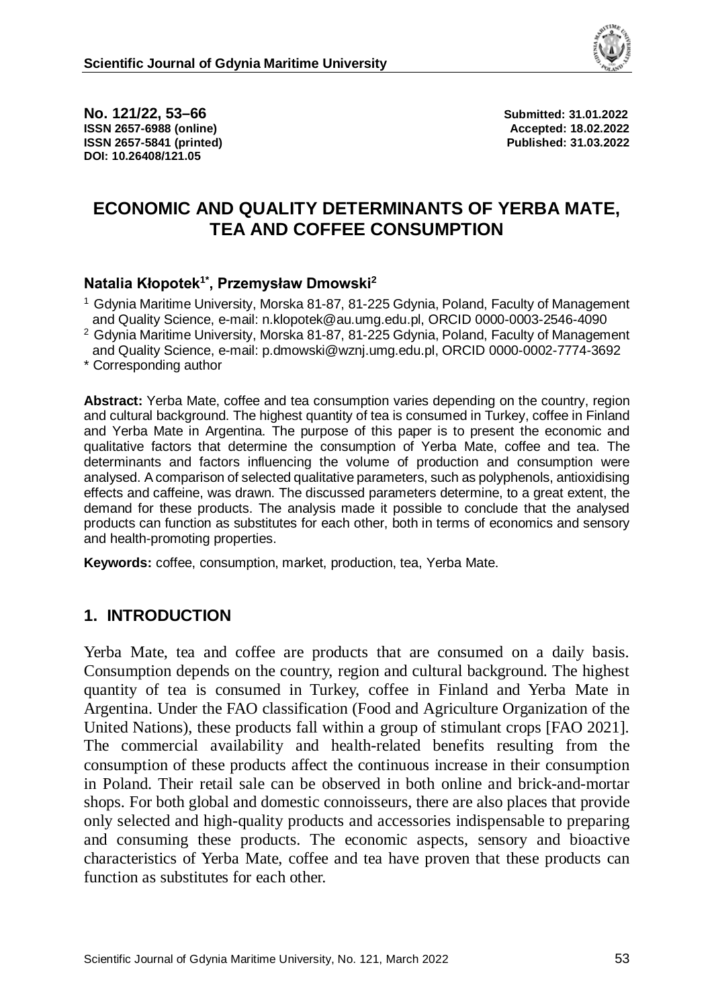

**No. 121/22, 53–66 Submitted: 31.01.2022 ISSN 2657-6988 (online) Accepted: 18.02.2022 ISSN 2657-5841 (printed) Published: 31.03.2022 DOI: 10.26408/121.05**

# **ECONOMIC AND QUALITY DETERMINANTS OF YERBA MATE, TEA AND COFFEE CONSUMPTION**

### **Natalia Kłopotek1\* , Przemysław Dmowski<sup>2</sup>**

1 Gdynia Maritime University, Morska 81-87, 81-225 Gdynia, Poland, Faculty of Management and Quality Science, e-mail: n.klopotek@au.umg.edu.pl, ORCID 0000-0003-2546-4090

- 2 Gdynia Maritime University, Morska 81-87, 81-225 Gdynia, Poland, Faculty of Management and Quality Science, e-mail: p.dmowski@wznj.umg.edu.pl, ORCID 0000-0002-7774-3692
- \* Corresponding author

**Abstract:** Yerba Mate, coffee and tea consumption varies depending on the country, region and cultural background. The highest quantity of tea is consumed in Turkey, coffee in Finland and Yerba Mate in Argentina. The purpose of this paper is to present the economic and qualitative factors that determine the consumption of Yerba Mate, coffee and tea. The determinants and factors influencing the volume of production and consumption were analysed. A comparison of selected qualitative parameters, such as polyphenols, antioxidising effects and caffeine, was drawn. The discussed parameters determine, to a great extent, the demand for these products. The analysis made it possible to conclude that the analysed products can function as substitutes for each other, both in terms of economics and sensory and health-promoting properties.

**Keywords:** coffee, consumption, market, production, tea, Yerba Mate.

# **1. INTRODUCTION**

Yerba Mate, tea and coffee are products that are consumed on a daily basis. Consumption depends on the country, region and cultural background. The highest quantity of tea is consumed in Turkey, coffee in Finland and Yerba Mate in Argentina. Under the FAO classification (Food and Agriculture Organization of the United Nations), these products fall within a group of stimulant crops [FAO 2021]. The commercial availability and health-related benefits resulting from the consumption of these products affect the continuous increase in their consumption in Poland. Their retail sale can be observed in both online and brick-and-mortar shops. For both global and domestic connoisseurs, there are also places that provide only selected and high-quality products and accessories indispensable to preparing and consuming these products. The economic aspects, sensory and bioactive characteristics of Yerba Mate, coffee and tea have proven that these products can function as substitutes for each other.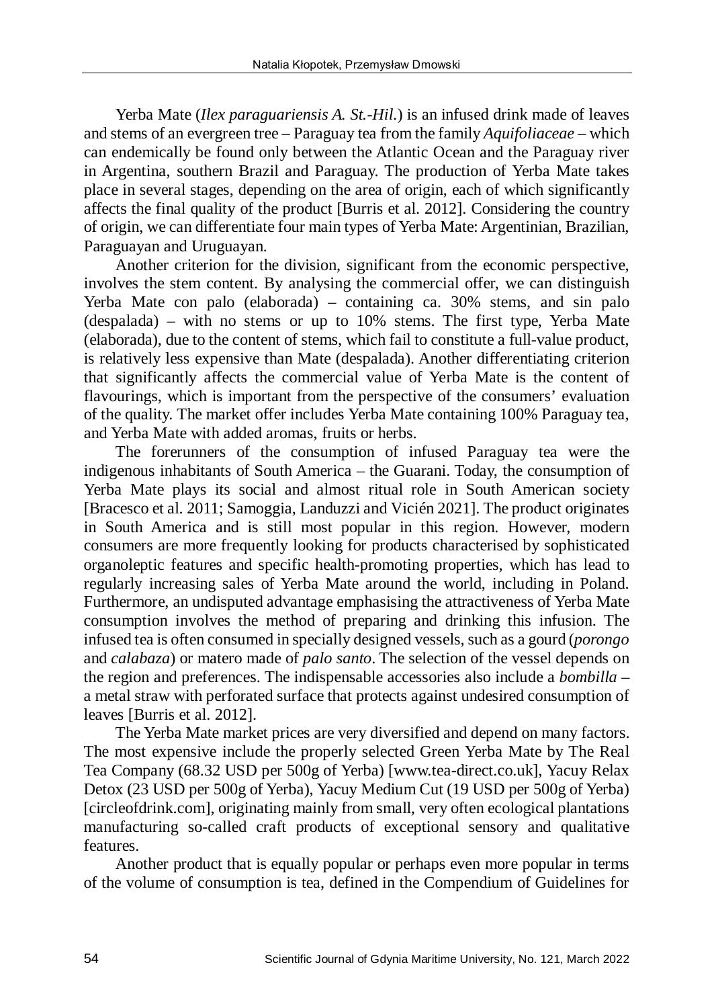Yerba Mate (*Ilex paraguariensis A. St.-Hil*.) is an infused drink made of leaves and stems of an evergreen tree – Paraguay tea from the family *Aquifoliaceae* – which can endemically be found only between the Atlantic Ocean and the Paraguay river in Argentina, southern Brazil and Paraguay. The production of Yerba Mate takes place in several stages, depending on the area of origin, each of which significantly affects the final quality of the product [Burris et al. 2012]. Considering the country of origin, we can differentiate four main types of Yerba Mate: Argentinian, Brazilian, Paraguayan and Uruguayan.

Another criterion for the division, significant from the economic perspective, involves the stem content. By analysing the commercial offer, we can distinguish Yerba Mate con palo (elaborada) – containing ca. 30% stems, and sin palo (despalada) – with no stems or up to 10% stems. The first type, Yerba Mate (elaborada), due to the content of stems, which fail to constitute a full-value product, is relatively less expensive than Mate (despalada). Another differentiating criterion that significantly affects the commercial value of Yerba Mate is the content of flavourings, which is important from the perspective of the consumers' evaluation of the quality. The market offer includes Yerba Mate containing 100% Paraguay tea, and Yerba Mate with added aromas, fruits or herbs.

The forerunners of the consumption of infused Paraguay tea were the indigenous inhabitants of South America – the Guarani. Today, the consumption of Yerba Mate plays its social and almost ritual role in South American society [Bracesco et al. 2011; Samoggia, Landuzzi and Vicién 2021]. The product originates in South America and is still most popular in this region. However, modern consumers are more frequently looking for products characterised by sophisticated organoleptic features and specific health-promoting properties, which has lead to regularly increasing sales of Yerba Mate around the world, including in Poland. Furthermore, an undisputed advantage emphasising the attractiveness of Yerba Mate consumption involves the method of preparing and drinking this infusion. The infused tea is often consumed in specially designed vessels, such as a gourd (*porongo* and *calabaza*) or matero made of *palo santo*. The selection of the vessel depends on the region and preferences. The indispensable accessories also include a *bombilla* – a metal straw with perforated surface that protects against undesired consumption of leaves [Burris et al. 2012].

The Yerba Mate market prices are very diversified and depend on many factors. The most expensive include the properly selected Green Yerba Mate by The Real Tea Company (68.32 USD per 500g of Yerba) [www.tea-direct.co.uk], Yacuy Relax Detox (23 USD per 500g of Yerba), Yacuy Medium Cut (19 USD per 500g of Yerba) [circleofdrink.com], originating mainly from small, very often ecological plantations manufacturing so-called craft products of exceptional sensory and qualitative features.

Another product that is equally popular or perhaps even more popular in terms of the volume of consumption is tea, defined in the Compendium of Guidelines for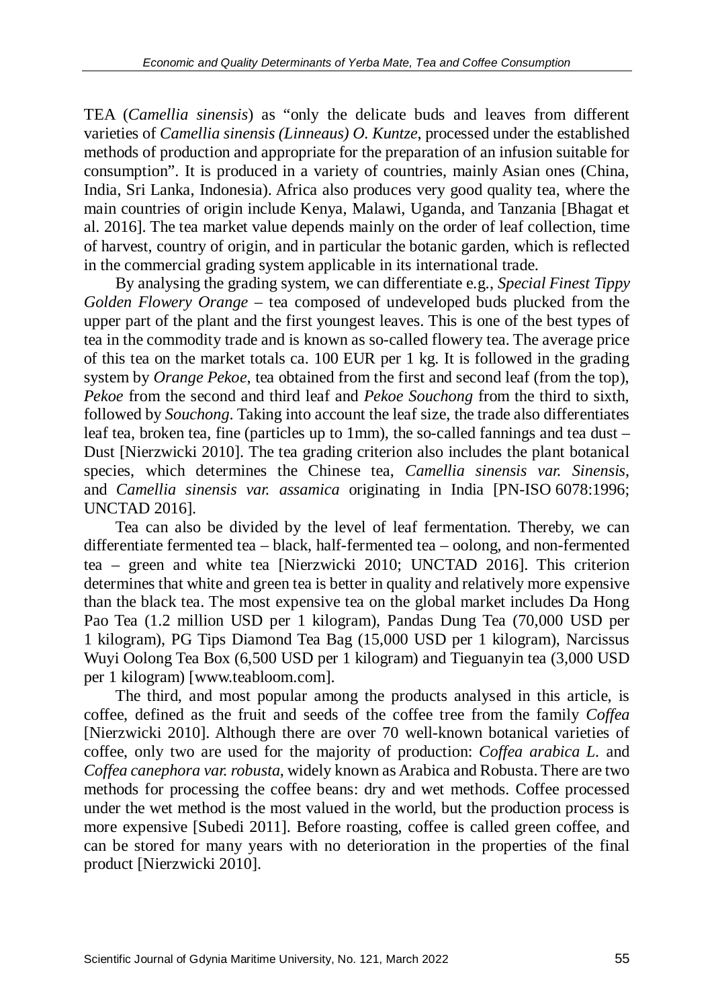TEA (*Camellia sinensis*) as "only the delicate buds and leaves from different varieties of *Camellia sinensis (Linneaus) O. Kuntze*, processed under the established methods of production and appropriate for the preparation of an infusion suitable for consumption". It is produced in a variety of countries, mainly Asian ones (China, India, Sri Lanka, Indonesia). Africa also produces very good quality tea, where the main countries of origin include Kenya, Malawi, Uganda, and Tanzania [Bhagat et al. 2016]. The tea market value depends mainly on the order of leaf collection, time of harvest, country of origin, and in particular the botanic garden, which is reflected in the commercial grading system applicable in its international trade.

By analysing the grading system, we can differentiate e.g., *Special Finest Tippy Golden Flowery Orange* – tea composed of undeveloped buds plucked from the upper part of the plant and the first youngest leaves. This is one of the best types of tea in the commodity trade and is known as so-called flowery tea. The average price of this tea on the market totals ca. 100 EUR per 1 kg. It is followed in the grading system by *Orange Pekoe*, tea obtained from the first and second leaf (from the top), *Pekoe* from the second and third leaf and *Pekoe Souchong* from the third to sixth*,*  followed by *Souchong*. Taking into account the leaf size, the trade also differentiates leaf tea, broken tea, fine (particles up to 1mm), the so-called fannings and tea dust – Dust [Nierzwicki 2010]. The tea grading criterion also includes the plant botanical species, which determines the Chinese tea, *Camellia sinensis var. Sinensis*, and *Camellia sinensis var. assamica* originating in India [PN-ISO 6078:1996; UNCTAD 2016].

Tea can also be divided by the level of leaf fermentation. Thereby, we can differentiate fermented tea – black, half-fermented tea – oolong, and non-fermented tea – green and white tea [Nierzwicki 2010; UNCTAD 2016]. This criterion determines that white and green tea is better in quality and relatively more expensive than the black tea. The most expensive tea on the global market includes Da Hong Pao Tea (1.2 million USD per 1 kilogram), Pandas Dung Tea (70,000 USD per 1 kilogram), PG Tips Diamond Tea Bag (15,000 USD per 1 kilogram), Narcissus Wuyi Oolong Tea Box (6,500 USD per 1 kilogram) and Tieguanyin tea (3,000 USD per 1 kilogram) [www.teabloom.com].

The third, and most popular among the products analysed in this article, is coffee, defined as the fruit and seeds of the coffee tree from the family *Coffea* [Nierzwicki 2010]. Although there are over 70 well-known botanical varieties of coffee, only two are used for the majority of production: *Coffea arabica L.* and *Coffea canephora var. robusta*, widely known as Arabica and Robusta. There are two methods for processing the coffee beans: dry and wet methods. Coffee processed under the wet method is the most valued in the world, but the production process is more expensive [Subedi 2011]. Before roasting, coffee is called green coffee, and can be stored for many years with no deterioration in the properties of the final product [Nierzwicki 2010].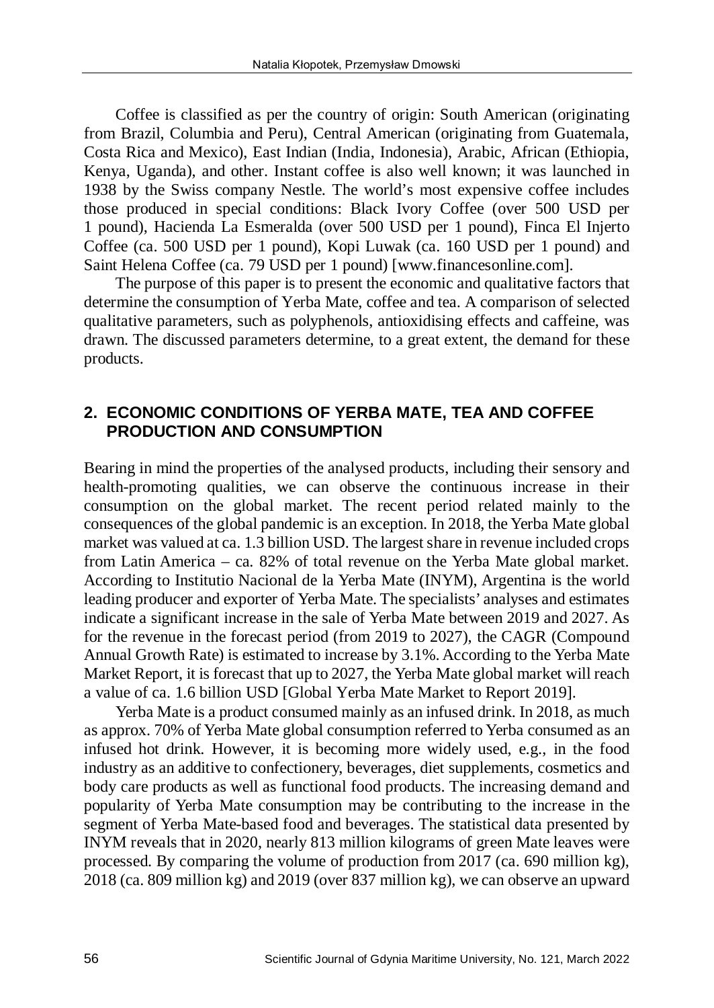Coffee is classified as per the country of origin: South American (originating from Brazil, Columbia and Peru), Central American (originating from Guatemala, Costa Rica and Mexico), East Indian (India, Indonesia), Arabic, African (Ethiopia, Kenya, Uganda), and other. Instant coffee is also well known; it was launched in 1938 by the Swiss company Nestle. The world's most expensive coffee includes those produced in special conditions: Black Ivory Coffee (over 500 USD per 1 pound), Hacienda La Esmeralda (over 500 USD per 1 pound), Finca El Injerto Coffee (ca. 500 USD per 1 pound), Kopi Luwak (ca. 160 USD per 1 pound) and Saint Helena Coffee (ca. 79 USD per 1 pound) [www.financesonline.com].

The purpose of this paper is to present the economic and qualitative factors that determine the consumption of Yerba Mate, coffee and tea. A comparison of selected qualitative parameters, such as polyphenols, antioxidising effects and caffeine, was drawn. The discussed parameters determine, to a great extent, the demand for these products.

### **2. ECONOMIC CONDITIONS OF YERBA MATE, TEA AND COFFEE PRODUCTION AND CONSUMPTION**

Bearing in mind the properties of the analysed products, including their sensory and health-promoting qualities, we can observe the continuous increase in their consumption on the global market. The recent period related mainly to the consequences of the global pandemic is an exception. In 2018, the Yerba Mate global market was valued at ca. 1.3 billion USD. The largest share in revenue included crops from Latin America – ca. 82% of total revenue on the Yerba Mate global market. According to Institutio Nacional de la Yerba Mate (INYM), Argentina is the world leading producer and exporter of Yerba Mate. The specialists' analyses and estimates indicate a significant increase in the sale of Yerba Mate between 2019 and 2027. As for the revenue in the forecast period (from 2019 to 2027), the CAGR (Compound Annual Growth Rate) is estimated to increase by 3.1%. According to the Yerba Mate Market Report, it is forecast that up to 2027, the Yerba Mate global market will reach a value of ca. 1.6 billion USD [Global Yerba Mate Market to Report 2019].

Yerba Mate is a product consumed mainly as an infused drink. In 2018, as much as approx. 70% of Yerba Mate global consumption referred to Yerba consumed as an infused hot drink. However, it is becoming more widely used, e.g., in the food industry as an additive to confectionery, beverages, diet supplements, cosmetics and body care products as well as functional food products. The increasing demand and popularity of Yerba Mate consumption may be contributing to the increase in the segment of Yerba Mate-based food and beverages. The statistical data presented by INYM reveals that in 2020, nearly 813 million kilograms of green Mate leaves were processed. By comparing the volume of production from 2017 (ca. 690 million kg), 2018 (ca. 809 million kg) and 2019 (over 837 million kg), we can observe an upward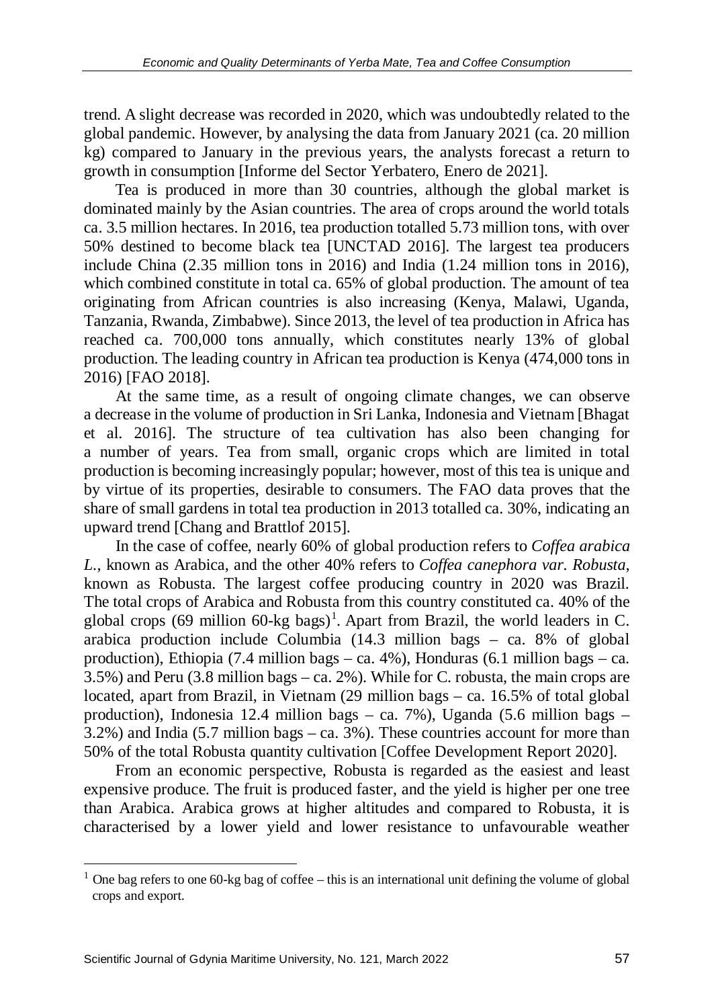trend. A slight decrease was recorded in 2020, which was undoubtedly related to the global pandemic. However, by analysing the data from January 2021 (ca. 20 million kg) compared to January in the previous years, the analysts forecast a return to growth in consumption [Informe del Sector Yerbatero, Enero de 2021].

Tea is produced in more than 30 countries, although the global market is dominated mainly by the Asian countries. The area of crops around the world totals ca. 3.5 million hectares. In 2016, tea production totalled 5.73 million tons, with over 50% destined to become black tea [UNCTAD 2016]. The largest tea producers include China (2.35 million tons in 2016) and India (1.24 million tons in 2016), which combined constitute in total ca. 65% of global production. The amount of tea originating from African countries is also increasing (Kenya, Malawi, Uganda, Tanzania, Rwanda, Zimbabwe). Since 2013, the level of tea production in Africa has reached ca. 700,000 tons annually, which constitutes nearly 13% of global production. The leading country in African tea production is Kenya (474,000 tons in 2016) [FAO 2018].

At the same time, as a result of ongoing climate changes, we can observe a decrease in the volume of production in Sri Lanka, Indonesia and Vietnam [Bhagat et al. 2016]. The structure of tea cultivation has also been changing for a number of years. Tea from small, organic crops which are limited in total production is becoming increasingly popular; however, most of this tea is unique and by virtue of its properties, desirable to consumers. The FAO data proves that the share of small gardens in total tea production in 2013 totalled ca. 30%, indicating an upward trend [Chang and Brattlof 2015].

In the case of coffee, nearly 60% of global production refers to *Coffea arabica L.*, known as Arabica, and the other 40% refers to *Coffea canephora var. Robusta*, known as Robusta. The largest coffee producing country in 2020 was Brazil. The total crops of Arabica and Robusta from this country constituted ca. 40% of the global crops (69 million 60-kg bags) [1](#page-4-0) . Apart from Brazil, the world leaders in C. arabica production include Columbia (14.3 million bags – ca. 8% of global production), Ethiopia (7.4 million bags – ca. 4%), Honduras (6.1 million bags – ca. 3.5%) and Peru (3.8 million bags – ca. 2%). While for C. robusta, the main crops are located, apart from Brazil, in Vietnam (29 million bags – ca. 16.5% of total global production), Indonesia 12.4 million bags – ca. 7%), Uganda  $(5.6 \text{ million bags} -$ 3.2%) and India (5.7 million bags – ca. 3%). These countries account for more than 50% of the total Robusta quantity cultivation [Coffee Development Report 2020].

From an economic perspective, Robusta is regarded as the easiest and least expensive produce. The fruit is produced faster, and the yield is higher per one tree than Arabica. Arabica grows at higher altitudes and compared to Robusta, it is characterised by a lower yield and lower resistance to unfavourable weather

<span id="page-4-0"></span> $1$  One bag refers to one 60-kg bag of coffee – this is an international unit defining the volume of global crops and export.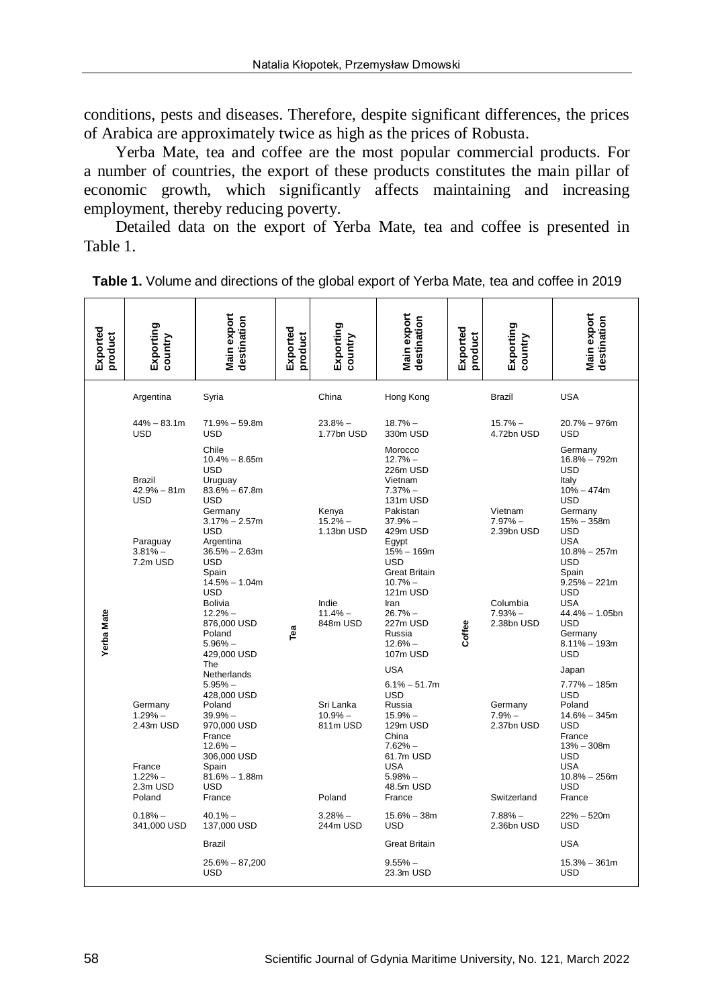conditions, pests and diseases. Therefore, despite significant differences, the prices of Arabica are approximately twice as high as the prices of Robusta.

Yerba Mate, tea and coffee are the most popular commercial products. For a number of countries, the export of these products constitutes the main pillar of economic growth, which significantly affects maintaining and increasing employment, thereby reducing poverty.

Detailed data on the export of Yerba Mate, tea and coffee is presented in Table 1.

| Exported<br>product | Exporting<br>country                                                                                       | Main export<br>destination                                                                                                                                                                                                                                                                               | Exported<br>product | Exporting<br>country                                                  | Main export<br>destination                                                                                                                                                                                                                                              | Exported<br>product | Exporting<br>country                                                        | Main export<br>destination                                                                                                                                                                                                                                                                               |
|---------------------|------------------------------------------------------------------------------------------------------------|----------------------------------------------------------------------------------------------------------------------------------------------------------------------------------------------------------------------------------------------------------------------------------------------------------|---------------------|-----------------------------------------------------------------------|-------------------------------------------------------------------------------------------------------------------------------------------------------------------------------------------------------------------------------------------------------------------------|---------------------|-----------------------------------------------------------------------------|----------------------------------------------------------------------------------------------------------------------------------------------------------------------------------------------------------------------------------------------------------------------------------------------------------|
|                     | Argentina                                                                                                  | Syria                                                                                                                                                                                                                                                                                                    |                     | China                                                                 | Hong Kong                                                                                                                                                                                                                                                               |                     | <b>Brazil</b>                                                               | <b>USA</b>                                                                                                                                                                                                                                                                                               |
|                     | $44\% - 83.1m$<br><b>USD</b>                                                                               | $71.9\% - 59.8m$<br><b>USD</b>                                                                                                                                                                                                                                                                           |                     | $23.8%$ -<br>1.77bn USD                                               | $18.7%$ -<br>330m USD                                                                                                                                                                                                                                                   |                     | $15.7%$ -<br>4.72bn USD                                                     | $20.7\% - 976$ m<br><b>USD</b>                                                                                                                                                                                                                                                                           |
| <b>Yerba Mate</b>   | Brazil<br>$42.9\% - 81m$<br>USD<br>Paraguay<br>$3.81%$ -<br>7.2m USD                                       | Chile<br>$10.4\% - 8.65m$<br><b>USD</b><br>Uruguay<br>$83.6\% - 67.8m$<br><b>USD</b><br>Germany<br>$3.17\% - 2.57m$<br>USD<br>Argentina<br>$36.5% - 2.63m$<br><b>USD</b><br>Spain<br>$14.5\% - 1.04m$<br><b>USD</b><br><b>Bolivia</b><br>$12.2% -$<br>876,000 USD<br>Poland<br>$5.96\%$ -<br>429,000 USD | Tea                 | Kenya<br>$15.2%$ -<br>1.13bn USD<br>Indie<br>$11.4%$ -<br>848m USD    | Morocco<br>$12.7%$ -<br>226m USD<br>Vietnam<br>$7.37%$ -<br>131m USD<br>Pakistan<br>$37.9%$ $-$<br>429m USD<br>Eqypt<br>$15% - 169m$<br><b>USD</b><br><b>Great Britain</b><br>$10.7%$ -<br>121m USD<br>Iran<br>$26.7%$ -<br>227m USD<br>Russia<br>$12.6% -$<br>107m USD | Coffee              | Vietnam<br>$7.97%$ -<br>2.39bn USD<br>Columbia<br>$7.93%$ -<br>2.38bn USD   | Germany<br>16.8% - 792m<br><b>USD</b><br>Italy<br>$10\% - 474m$<br><b>USD</b><br>Germany<br>$15% - 358m$<br><b>USD</b><br><b>USA</b><br>$10.8\% - 257m$<br><b>USD</b><br>Spain<br>$9.25% - 221m$<br><b>USD</b><br><b>USA</b><br>44.4% - 1.05bn<br><b>USD</b><br>Germany<br>$8.11\% - 193m$<br><b>USD</b> |
|                     | Germany<br>$1.29%$ -<br>2.43m USD<br>France<br>$1.22% -$<br>2.3m USD<br>Poland<br>$0.18% -$<br>341,000 USD | The<br>Netherlands<br>$5.95%$ -<br>428,000 USD<br>Poland<br>$39.9% -$<br>970,000 USD<br>France<br>$12.6% -$<br>306,000 USD<br>Spain<br>$81.6\% - 1.88m$<br><b>USD</b><br>France<br>$40.1%$ -<br>137,000 USD<br>Brazil<br>25.6% - 87,200                                                                  |                     | Sri Lanka<br>$10.9%$ -<br>811m USD<br>Poland<br>$3.28%$ -<br>244m USD | <b>USA</b><br>$6.1\% - 51.7m$<br>USD<br>Russia<br>$15.9%$ -<br>129m USD<br>China<br>$7.62%$ -<br>61.7m USD<br><b>USA</b><br>$5.98%$ $-$<br>48.5m USD<br>France<br>$15.6\% - 38m$<br><b>USD</b><br><b>Great Britain</b><br>$9.55%$ -                                     |                     | Germany<br>$7.9%$ -<br>2.37bn USD<br>Switzerland<br>$7.88%$ -<br>2.36bn USD | Japan<br>$7.77\% - 185m$<br><b>USD</b><br>Poland<br>$14.6\% - 345m$<br><b>USD</b><br>France<br>$13% - 308m$<br>USD<br><b>USA</b><br>$10.8\% - 256m$<br><b>USD</b><br>France<br>$22\% - 520m$<br><b>USD</b><br><b>USA</b><br>$15.3\% - 361m$                                                              |
|                     |                                                                                                            | USD                                                                                                                                                                                                                                                                                                      |                     |                                                                       | 23.3m USD                                                                                                                                                                                                                                                               |                     |                                                                             | USD                                                                                                                                                                                                                                                                                                      |

**Table 1.** Volume and directions of the global export of Yerba Mate, tea and coffee in 2019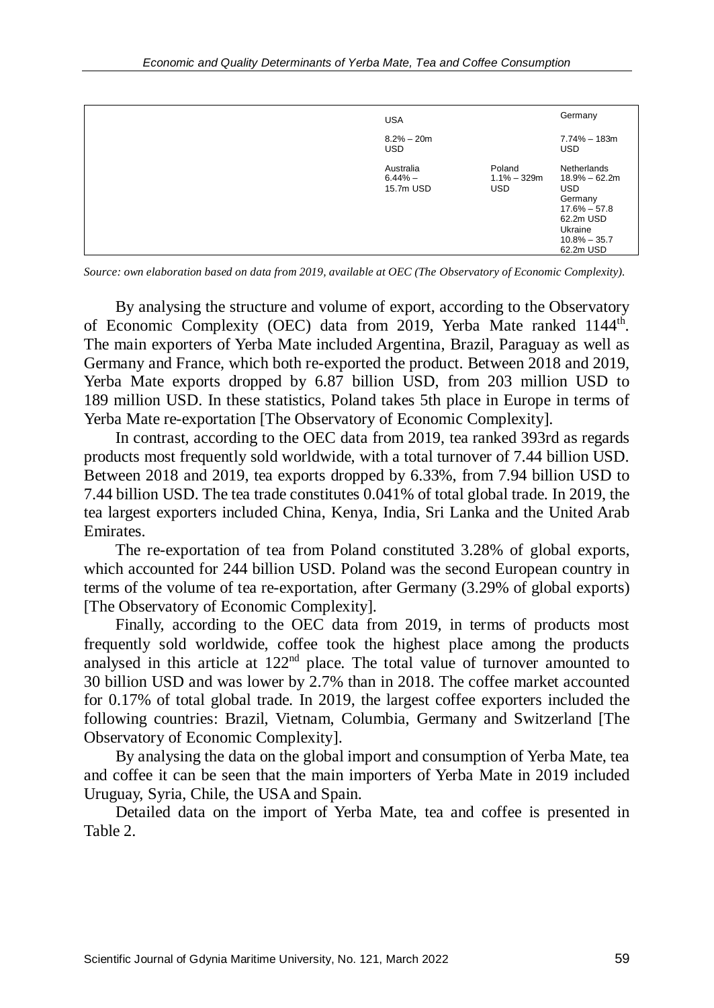| <b>USA</b>                           |                                        | Germany                                                                                                                             |
|--------------------------------------|----------------------------------------|-------------------------------------------------------------------------------------------------------------------------------------|
| $8.2\% - 20m$<br><b>USD</b>          |                                        | $7.74\% - 183m$<br><b>USD</b>                                                                                                       |
| Australia<br>$6.44\% -$<br>15.7m USD | Poland<br>$1.1\% - 329m$<br><b>USD</b> | Netherlands<br>$18.9\% - 62.2m$<br><b>USD</b><br>Germany<br>$17.6\% - 57.8$<br>62.2m USD<br>Ukraine<br>$10.8\% - 35.7$<br>62.2m USD |

*Source: own elaboration based on data from 2019, available at OEC (The Observatory of Economic Complexity).*

By analysing the structure and volume of export, according to the Observatory of Economic Complexity (OEC) data from 2019, Yerba Mate ranked 1144<sup>th</sup>. The main exporters of Yerba Mate included Argentina, Brazil, Paraguay as well as Germany and France, which both re-exported the product. Between 2018 and 2019, Yerba Mate exports dropped by 6.87 billion USD, from 203 million USD to 189 million USD. In these statistics, Poland takes 5th place in Europe in terms of Yerba Mate re-exportation [The Observatory of Economic Complexity].

In contrast, according to the OEC data from 2019, tea ranked 393rd as regards products most frequently sold worldwide, with a total turnover of 7.44 billion USD. Between 2018 and 2019, tea exports dropped by 6.33%, from 7.94 billion USD to 7.44 billion USD. The tea trade constitutes 0.041% of total global trade. In 2019, the tea largest exporters included China, Kenya, India, Sri Lanka and the United Arab Emirates.

The re-exportation of tea from Poland constituted 3.28% of global exports, which accounted for 244 billion USD. Poland was the second European country in terms of the volume of tea re-exportation, after Germany (3.29% of global exports) [The Observatory of Economic Complexity].

Finally, according to the OEC data from 2019, in terms of products most frequently sold worldwide, coffee took the highest place among the products analysed in this article at 122nd place. The total value of turnover amounted to 30 billion USD and was lower by 2.7% than in 2018. The coffee market accounted for 0.17% of total global trade. In 2019, the largest coffee exporters included the following countries: Brazil, Vietnam, Columbia, Germany and Switzerland [The Observatory of Economic Complexity].

By analysing the data on the global import and consumption of Yerba Mate, tea and coffee it can be seen that the main importers of Yerba Mate in 2019 included Uruguay, Syria, Chile, the USA and Spain.

Detailed data on the import of Yerba Mate, tea and coffee is presented in Table 2.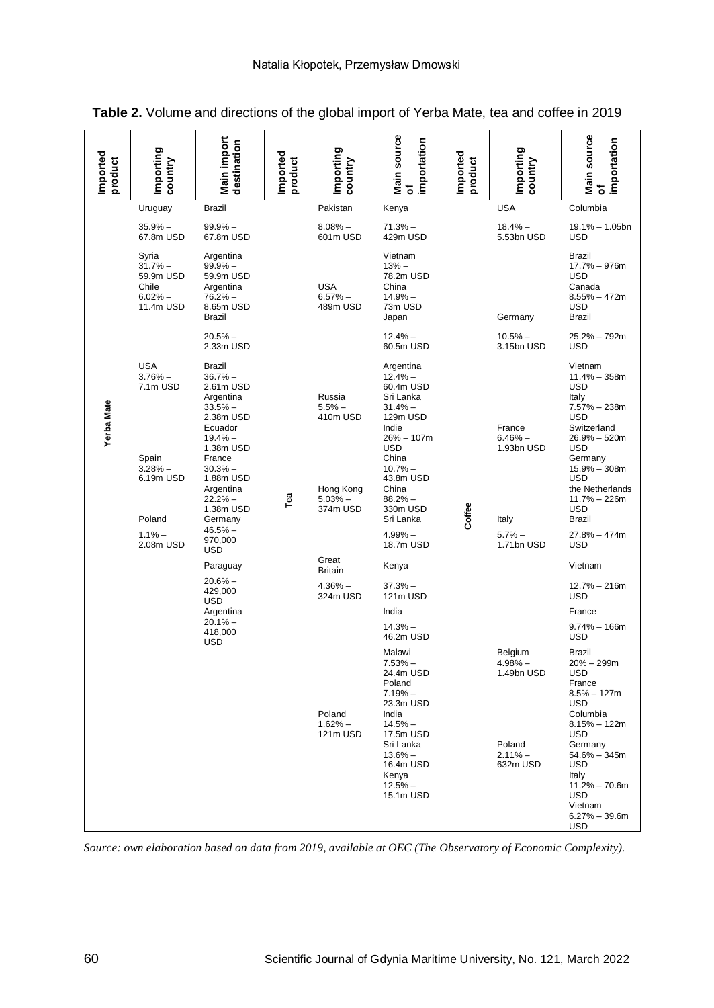| Imported<br>product | Importing<br>country                                               | Main import<br>destination                                                                                     | Imported<br>product | Importing<br>country               | Main source<br>of<br>importation                                                                                                                                                  | Imported<br>product                                                       | Importing<br>country                                                               | <b>Main source</b><br>importation<br>৳                                                                                                                                                                                                                           |                                                                                                  |                                                                                                   |
|---------------------|--------------------------------------------------------------------|----------------------------------------------------------------------------------------------------------------|---------------------|------------------------------------|-----------------------------------------------------------------------------------------------------------------------------------------------------------------------------------|---------------------------------------------------------------------------|------------------------------------------------------------------------------------|------------------------------------------------------------------------------------------------------------------------------------------------------------------------------------------------------------------------------------------------------------------|--------------------------------------------------------------------------------------------------|---------------------------------------------------------------------------------------------------|
|                     | Uruguay                                                            | Brazil                                                                                                         |                     | Pakistan                           | Kenya                                                                                                                                                                             |                                                                           | <b>USA</b>                                                                         | Columbia                                                                                                                                                                                                                                                         |                                                                                                  |                                                                                                   |
|                     | $35.9%$ -<br>67.8m USD                                             | $99.9% -$<br>67.8m USD                                                                                         |                     | $8.08\%$ -<br>601m USD             | $71.3%$ -<br>429m USD                                                                                                                                                             |                                                                           | $18.4% -$<br>5.53bn USD                                                            | 19.1% - 1.05bn<br><b>USD</b>                                                                                                                                                                                                                                     |                                                                                                  |                                                                                                   |
|                     | Syria<br>$31.7%$ -<br>59.9m USD<br>Chile<br>$6.02%$ -<br>11.4m USD | Argentina<br>$99.9% -$<br>59.9m USD<br>Argentina<br>$76.2%$ -<br>8.65m USD<br>Brazil                           | Tea                 |                                    | <b>USA</b><br>$6.57%$ -<br>489m USD                                                                                                                                               | Vietnam<br>$13% -$<br>78.2m USD<br>China<br>$14.9% -$<br>73m USD<br>Japan |                                                                                    | Germany                                                                                                                                                                                                                                                          | Brazil<br>17.7% - 976m<br><b>USD</b><br>Canada<br>$8.55\% - 472m$<br><b>USD</b><br><b>Brazil</b> |                                                                                                   |
|                     |                                                                    | $20.5%$ -<br>2.33m USD                                                                                         |                     |                                    | $12.4% -$<br>60.5m USD                                                                                                                                                            |                                                                           | $10.5% -$<br>3.15bn USD                                                            | 25.2% - 792m<br><b>USD</b>                                                                                                                                                                                                                                       |                                                                                                  |                                                                                                   |
| <b>Yerba Mate</b>   | <b>USA</b><br>$3.76%$ -<br>7.1m USD                                | Brazil<br>$36.7%$ -<br>2.61m USD<br>Argentina<br>$33.5%$ -<br>2.38m USD<br>Ecuador                             |                     |                                    |                                                                                                                                                                                   | Russia<br>$5.5%$ -<br>410m USD                                            | Argentina<br>$12.4%$ -<br>60.4m USD<br>Sri Lanka<br>$31.4%$ -<br>129m USD<br>Indie |                                                                                                                                                                                                                                                                  | France                                                                                           | Vietnam<br>$11.4\% - 358m$<br><b>USD</b><br>Italy<br>$7.57\% - 238m$<br><b>USD</b><br>Switzerland |
|                     | Spain<br>$3.28%$ -<br>6.19m USD<br>Poland                          | $19.4% -$<br>1.38m USD<br>France<br>$30.3%$ $-$<br>1.88m USD<br>Argentina<br>$22.2%$ -<br>1.38m USD<br>Germany |                     | Hong Kong<br>$5.03%$ -<br>374m USD | $26% - 107m$<br><b>USD</b><br>China<br>$10.7%$ -<br>43.8m USD<br>China<br>$88.2%$ -<br>330m USD<br>Sri Lanka                                                                      | Coffee                                                                    | $6.46%$ -<br>1.93bn USD<br>Italy                                                   | $26.9\% - 520m$<br>USD<br>Germany<br>$15.9\% - 308m$<br><b>USD</b><br>the Netherlands<br>$11.7% - 226m$<br><b>USD</b><br>Brazil                                                                                                                                  |                                                                                                  |                                                                                                   |
|                     | $1.1%$ –<br>2.08m USD                                              | $46.5%$ -<br>970,000                                                                                           |                     |                                    | $4.99%$ $-$<br>18.7m USD                                                                                                                                                          |                                                                           | $5.7%$ -<br>1.71bn USD                                                             | 27.8% - 474m<br><b>USD</b>                                                                                                                                                                                                                                       |                                                                                                  |                                                                                                   |
|                     |                                                                    | USD<br>Paraguay                                                                                                |                     | Great<br><b>Britain</b>            | Kenya                                                                                                                                                                             |                                                                           |                                                                                    | Vietnam                                                                                                                                                                                                                                                          |                                                                                                  |                                                                                                   |
|                     |                                                                    | $20.6%$ $-$<br>429,000<br><b>USD</b>                                                                           |                     | $4.36\%$ -<br>324m USD             | $37.3%$ -<br>121m USD                                                                                                                                                             |                                                                           |                                                                                    | $12.7\% - 216m$<br><b>USD</b>                                                                                                                                                                                                                                    |                                                                                                  |                                                                                                   |
|                     |                                                                    | Argentina<br>$20.1%$ -                                                                                         |                     |                                    | India                                                                                                                                                                             |                                                                           |                                                                                    | France                                                                                                                                                                                                                                                           |                                                                                                  |                                                                                                   |
|                     |                                                                    | 418,000<br>USD                                                                                                 |                     |                                    | $14.3%$ -<br>46.2m USD                                                                                                                                                            |                                                                           |                                                                                    | $9.74\% - 166$ m<br><b>USD</b>                                                                                                                                                                                                                                   |                                                                                                  |                                                                                                   |
|                     |                                                                    |                                                                                                                |                     | Poland<br>$1.62%$ -<br>121m USD    | Malawi<br>$7.53%$ -<br>24.4m USD<br>Poland<br>$7.19%$ -<br>23.3m USD<br>India<br>$14.5%$ -<br>17.5m USD<br>Sri Lanka<br>$13.6%$ -<br>16.4m USD<br>Kenya<br>$12.5% -$<br>15.1m USD |                                                                           | Belgium<br>$4.98%$ -<br>1.49bn USD<br>Poland<br>$2.11% -$<br>632m USD              | Brazil<br>$20\% - 299m$<br><b>USD</b><br>France<br>$8.5\% - 127m$<br><b>USD</b><br>Columbia<br>$8.15\% - 122m$<br><b>USD</b><br>Germany<br>$54.6\% - 345m$<br><b>USD</b><br>Italy<br>$11.2\% - 70.6m$<br><b>USD</b><br>Vietnam<br>$6.27\% - 39.6m$<br><b>USD</b> |                                                                                                  |                                                                                                   |

**Table 2.** Volume and directions of the global import of Yerba Mate, tea and coffee in 2019

*Source: own elaboration based on data from 2019, available at OEC (The Observatory of Economic Complexity).*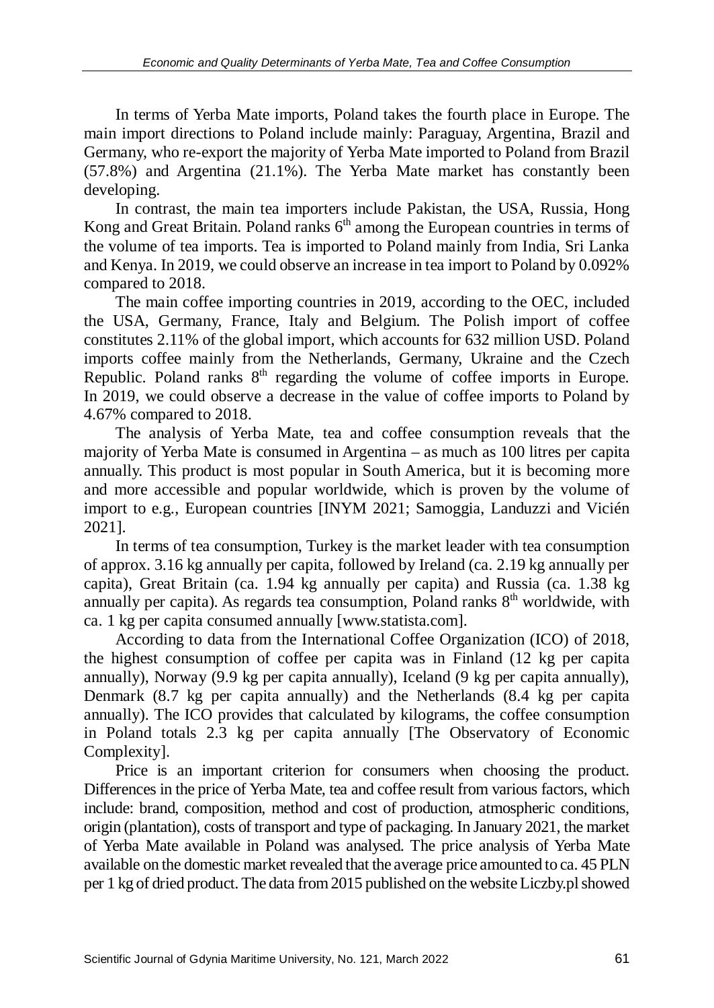In terms of Yerba Mate imports, Poland takes the fourth place in Europe. The main import directions to Poland include mainly: Paraguay, Argentina, Brazil and Germany, who re-export the majority of Yerba Mate imported to Poland from Brazil (57.8%) and Argentina (21.1%). The Yerba Mate market has constantly been developing.

In contrast, the main tea importers include Pakistan, the USA, Russia, Hong Kong and Great Britain. Poland ranks  $6<sup>th</sup>$  among the European countries in terms of the volume of tea imports. Tea is imported to Poland mainly from India, Sri Lanka and Kenya. In 2019, we could observe an increase in tea import to Poland by 0.092% compared to 2018.

The main coffee importing countries in 2019, according to the OEC, included the USA, Germany, France, Italy and Belgium. The Polish import of coffee constitutes 2.11% of the global import, which accounts for 632 million USD. Poland imports coffee mainly from the Netherlands, Germany, Ukraine and the Czech Republic. Poland ranks  $8<sup>th</sup>$  regarding the volume of coffee imports in Europe. In 2019, we could observe a decrease in the value of coffee imports to Poland by 4.67% compared to 2018.

The analysis of Yerba Mate, tea and coffee consumption reveals that the majority of Yerba Mate is consumed in Argentina – as much as 100 litres per capita annually. This product is most popular in South America, but it is becoming more and more accessible and popular worldwide, which is proven by the volume of import to e.g., European countries [INYM 2021; Samoggia, Landuzzi and Vicién 2021].

In terms of tea consumption, Turkey is the market leader with tea consumption of approx. 3.16 kg annually per capita, followed by Ireland (ca. 2.19 kg annually per capita), Great Britain (ca. 1.94 kg annually per capita) and Russia (ca. 1.38 kg annually per capita). As regards tea consumption, Poland ranks 8<sup>th</sup> worldwide, with ca. 1 kg per capita consumed annually [www.statista.com].

According to data from the International Coffee Organization (ICO) of 2018, the highest consumption of coffee per capita was in Finland (12 kg per capita annually), Norway (9.9 kg per capita annually), Iceland (9 kg per capita annually), Denmark (8.7 kg per capita annually) and the Netherlands (8.4 kg per capita annually). The ICO provides that calculated by kilograms, the coffee consumption in Poland totals 2.3 kg per capita annually [The Observatory of Economic Complexity].

Price is an important criterion for consumers when choosing the product. Differences in the price of Yerba Mate, tea and coffee result from various factors, which include: brand, composition, method and cost of production, atmospheric conditions, origin (plantation), costs of transport and type of packaging. In January 2021, the market of Yerba Mate available in Poland was analysed. The price analysis of Yerba Mate available on the domestic market revealed that the average price amounted to ca. 45 PLN per 1 kg of dried product. The data from 2015 published on the website Liczby.pl showed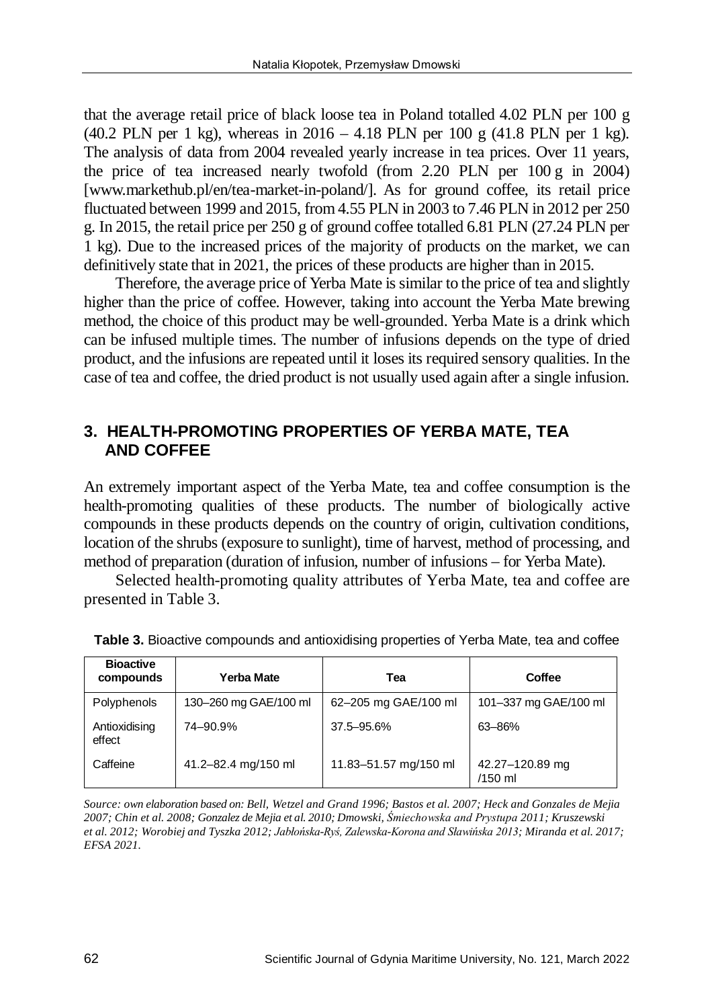that the average retail price of black loose tea in Poland totalled 4.02 PLN per 100 g (40.2 PLN per 1 kg), whereas in 2016 – 4.18 PLN per 100 g (41.8 PLN per 1 kg). The analysis of data from 2004 revealed yearly increase in tea prices. Over 11 years, the price of tea increased nearly twofold (from 2.20 PLN per 100 g in 2004) [www.markethub.pl/en/tea-market-in-poland/]. As for ground coffee, its retail price fluctuated between 1999 and 2015, from 4.55 PLN in 2003 to 7.46 PLN in 2012 per 250 g. In 2015, the retail price per 250 g of ground coffee totalled 6.81 PLN (27.24 PLN per 1 kg). Due to the increased prices of the majority of products on the market, we can definitively state that in 2021, the prices of these products are higher than in 2015.

Therefore, the average price of Yerba Mate is similar to the price of tea and slightly higher than the price of coffee. However, taking into account the Yerba Mate brewing method, the choice of this product may be well-grounded. Yerba Mate is a drink which can be infused multiple times. The number of infusions depends on the type of dried product, and the infusions are repeated until it loses its required sensory qualities. In the case of tea and coffee, the dried product is not usually used again after a single infusion.

# **3. HEALTH-PROMOTING PROPERTIES OF YERBA MATE, TEA AND COFFEE**

An extremely important aspect of the Yerba Mate, tea and coffee consumption is the health-promoting qualities of these products. The number of biologically active compounds in these products depends on the country of origin, cultivation conditions, location of the shrubs (exposure to sunlight), time of harvest, method of processing, and method of preparation (duration of infusion, number of infusions – for Yerba Mate).

Selected health-promoting quality attributes of Yerba Mate, tea and coffee are presented in Table 3.

| <b>Bioactive</b><br>compounds | Yerba Mate            | Tea                   | Coffee                     |  |
|-------------------------------|-----------------------|-----------------------|----------------------------|--|
| Polyphenols                   | 130-260 mg GAE/100 ml | 62-205 mg GAE/100 ml  | 101-337 mg GAE/100 ml      |  |
| Antioxidising<br>effect       | 74-90.9%              | 37.5 - 95.6%          | 63-86%                     |  |
| Caffeine                      | 41.2-82.4 mg/150 ml   | 11.83-51.57 mg/150 ml | 42.27-120.89 mg<br>/150 ml |  |

**Table 3.** Bioactive compounds and antioxidising properties of Yerba Mate, tea and coffee

*Source: own elaboration based on: Bell, Wetzel and Grand 1996; Bastos et al. 2007; Heck and Gonzales de Mejia 2007; Chin et al. 2008; Gonzalez de Mejia et al. 2010; Dmowski, Śmiechowska and Prystupa 2011; Kruszewski et al. 2012; Worobiej and Tyszka 2012; Jabłońska-Ryś, Zalewska-Korona and Sławińska 2013; Miranda et al. 2017; EFSA 2021.*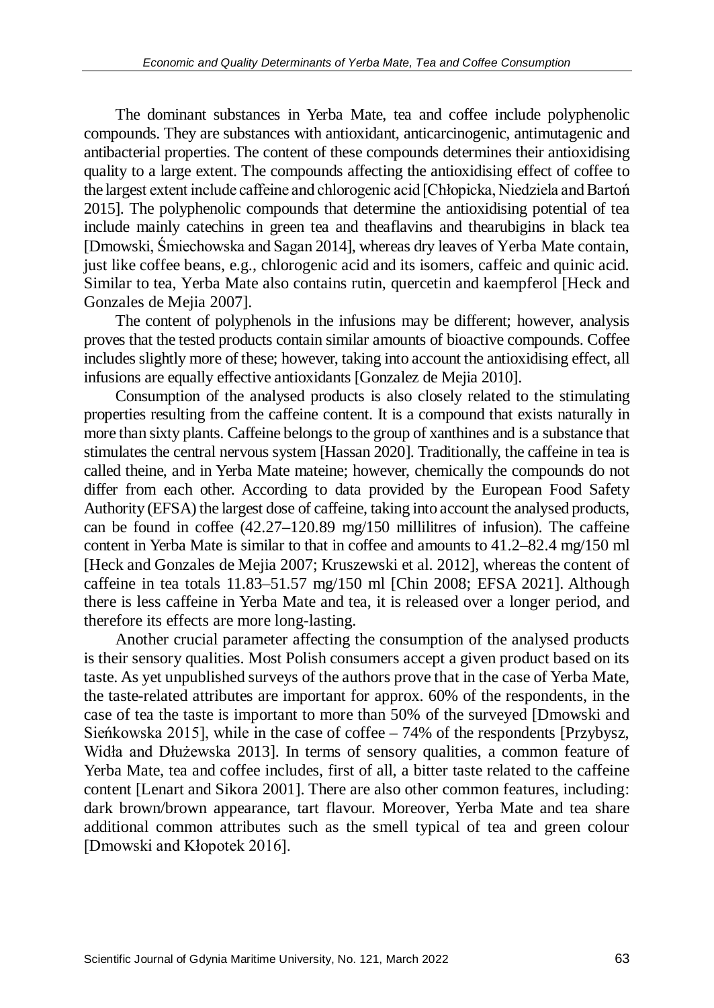The dominant substances in Yerba Mate, tea and coffee include polyphenolic compounds. They are substances with antioxidant, anticarcinogenic, antimutagenic and antibacterial properties. The content of these compounds determines their antioxidising quality to a large extent. The compounds affecting the antioxidising effect of coffee to the largest extent include caffeine and chlorogenic acid [Chłopicka, Niedziela and Bartoń 2015]. The polyphenolic compounds that determine the antioxidising potential of tea include mainly catechins in green tea and theaflavins and thearubigins in black tea [Dmowski, Śmiechowska and Sagan 2014], whereas dry leaves of Yerba Mate contain, just like coffee beans, e.g., chlorogenic acid and its isomers, caffeic and quinic acid. Similar to tea, Yerba Mate also contains rutin, quercetin and kaempferol [Heck and Gonzales de Mejia 2007].

The content of polyphenols in the infusions may be different; however, analysis proves that the tested products contain similar amounts of bioactive compounds. Coffee includes slightly more of these; however, taking into account the antioxidising effect, all infusions are equally effective antioxidants [Gonzalez de Mejia 2010].

Consumption of the analysed products is also closely related to the stimulating properties resulting from the caffeine content. It is a compound that exists naturally in more than sixty plants. Caffeine belongs to the group of xanthines and is a substance that stimulates the central nervous system [Hassan 2020]. Traditionally, the caffeine in tea is called theine, and in Yerba Mate mateine; however, chemically the compounds do not differ from each other. According to data provided by the European Food Safety Authority (EFSA) the largest dose of caffeine, taking into account the analysed products, can be found in coffee  $(42.27-120.89 \text{ m} \text{s}/150 \text{ millilitres of }$  infusion). The caffeine content in Yerba Mate is similar to that in coffee and amounts to 41.2–82.4 mg/150 ml [Heck and Gonzales de Mejia 2007; Kruszewski et al. 2012], whereas the content of caffeine in tea totals 11.83–51.57 mg/150 ml [Chin 2008; EFSA 2021]. Although there is less caffeine in Yerba Mate and tea, it is released over a longer period, and therefore its effects are more long-lasting.

Another crucial parameter affecting the consumption of the analysed products is their sensory qualities. Most Polish consumers accept a given product based on its taste. As yet unpublished surveys of the authors prove that in the case of Yerba Mate, the taste-related attributes are important for approx. 60% of the respondents, in the case of tea the taste is important to more than 50% of the surveyed [Dmowski and Sieńkowska 2015], while in the case of coffee – 74% of the respondents [Przybysz, Widła and Dłużewska 2013]. In terms of sensory qualities, a common feature of Yerba Mate, tea and coffee includes, first of all, a bitter taste related to the caffeine content [Lenart and Sikora 2001]. There are also other common features, including: dark brown/brown appearance, tart flavour. Moreover, Yerba Mate and tea share additional common attributes such as the smell typical of tea and green colour [Dmowski and Kłopotek 2016].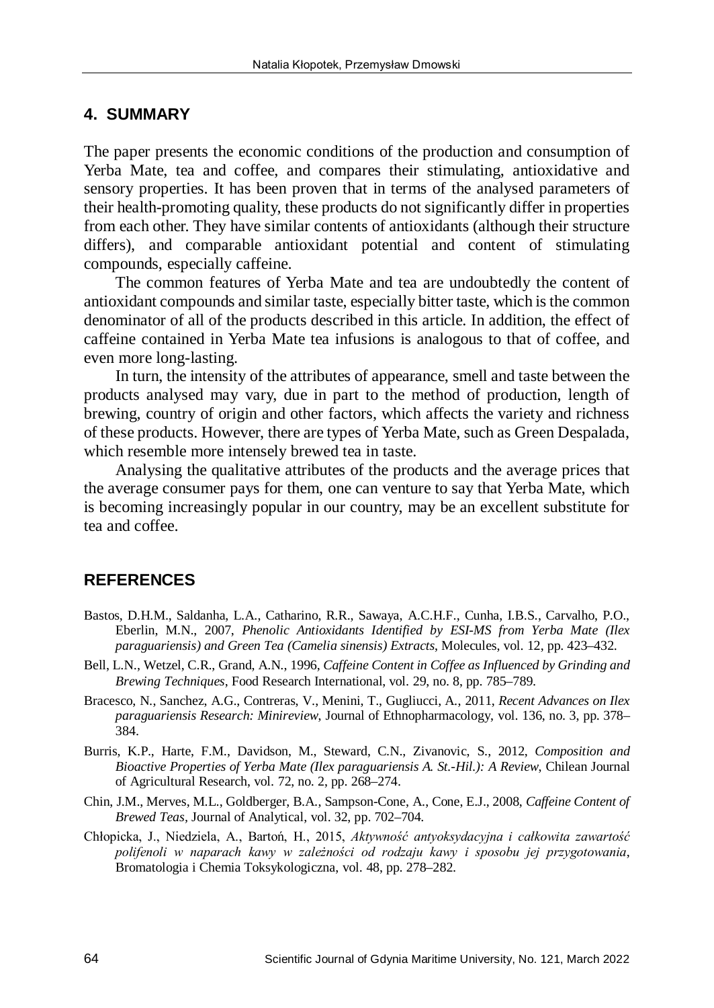#### **4. SUMMARY**

The paper presents the economic conditions of the production and consumption of Yerba Mate, tea and coffee, and compares their stimulating, antioxidative and sensory properties. It has been proven that in terms of the analysed parameters of their health-promoting quality, these products do not significantly differ in properties from each other. They have similar contents of antioxidants (although their structure differs), and comparable antioxidant potential and content of stimulating compounds, especially caffeine.

The common features of Yerba Mate and tea are undoubtedly the content of antioxidant compounds and similar taste, especially bitter taste, which is the common denominator of all of the products described in this article. In addition, the effect of caffeine contained in Yerba Mate tea infusions is analogous to that of coffee, and even more long-lasting.

In turn, the intensity of the attributes of appearance, smell and taste between the products analysed may vary, due in part to the method of production, length of brewing, country of origin and other factors, which affects the variety and richness of these products. However, there are types of Yerba Mate, such as Green Despalada, which resemble more intensely brewed tea in taste.

Analysing the qualitative attributes of the products and the average prices that the average consumer pays for them, one can venture to say that Yerba Mate, which is becoming increasingly popular in our country, may be an excellent substitute for tea and coffee.

# **REFERENCES**

- Bastos, D.H.M., Saldanha, L.A., Catharino, R.R., Sawaya, A.C.H.F., Cunha, I.B.S., Carvalho, P.O., Eberlin, M.N., 2007, *Phenolic Antioxidants Identified by ESI-MS from Yerba Mate (Ilex paraguariensis) and Green Tea (Camelia sinensis) Extracts*, Molecules, vol. 12, pp. 423–432.
- Bell, L.N., Wetzel, C.R., Grand, A.N., 1996, *Caffeine Content in Coffee as Influenced by Grinding and Brewing Techniques*, Food Research International, vol. 29, no. 8, pp. 785–789.
- Bracesco, N., Sanchez, A.G., Contreras, V., Menini, T., Gugliucci, A., 2011, *Recent Advances on Ilex paraguariensis Research: Minireview*, Journal of Ethnopharmacology, vol. 136, no. 3, pp. 378– 384.
- Burris, K.P., Harte, F.M., Davidson, M., Steward, C.N., Zivanovic, S., 2012, *Composition and Bioactive Properties of Yerba Mate (Ilex paraguariensis A. St.-Hil.): A Review*, Chilean Journal of Agricultural Research, vol. 72, no. 2, pp. 268–274.
- Chin, J.M., Merves, M.L., Goldberger, B.A., Sampson-Cone, A., Cone, E.J., 2008, *Caffeine Content of Brewed Teas,* Journal of Analytical, vol. 32, pp. 702–704.
- Chłopicka, J., Niedziela, A., Bartoń, H., 2015, *Aktywność antyoksydacyjna i całkowita zawartość polifenoli w naparach kawy w zależności od rodzaju kawy i sposobu jej przygotowania*, Bromatologia i Chemia Toksykologiczna, vol. 48, pp. 278–282.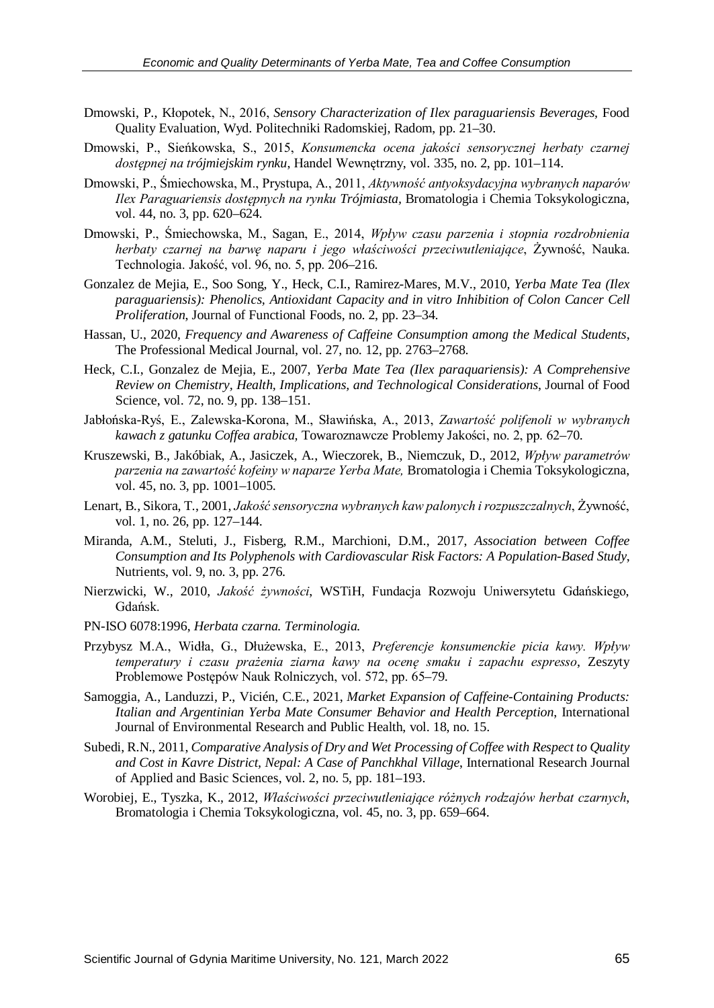- Dmowski, P., Kłopotek, N., 2016, *Sensory Characterization of Ilex paraguariensis Beverages,* Food Quality Evaluation, Wyd. Politechniki Radomskiej, Radom, pp. 21–30.
- Dmowski, P., Sieńkowska, S., 2015, *Konsumencka ocena jakości sensorycznej herbaty czarnej dostępnej na trójmiejskim rynku*, Handel Wewnętrzny, vol. 335, no. 2, pp. 101–114.
- Dmowski, P., Śmiechowska, M., Prystupa, A., 2011, *Aktywność antyoksydacyjna wybranych naparów Ilex Paraguariensis dostępnych na rynku Trójmiasta,* Bromatologia i Chemia Toksykologiczna, vol. 44, no. 3, pp. 620–624.
- Dmowski, P., Śmiechowska, M., Sagan, E., 2014, *Wpływ czasu parzenia i stopnia rozdrobnienia herbaty czarnej na barwę naparu i jego właściwości przeciwutleniające*, Żywność, Nauka. Technologia. Jakość, vol. 96, no. 5, pp. 206–216.
- Gonzalez de Mejia, E., Soo Song, Y., Heck, C.I., Ramirez-Mares, M.V., 2010, *Yerba Mate Tea (Ilex paraguariensis): Phenolics, Antioxidant Capacity and in vitro Inhibition of Colon Cancer Cell Proliferation*, Journal of Functional Foods, no. 2, pp. 23–34.
- Hassan, U., 2020, *Frequency and Awareness of Caffeine Consumption among the Medical Students*, The Professional Medical Journal, vol. 27, no. 12, pp. 2763–2768.
- Heck, C.I., Gonzalez de Mejia, E., 2007, *Yerba Mate Tea (Ilex paraquariensis): A Comprehensive Review on Chemistry, Health, Implications, and Technological Considerations*, Journal of Food Science, vol. 72, no. 9, pp. 138–151.
- Jabłońska-Ryś, E., Zalewska-Korona, M., Sławińska, A., 2013, *Zawartość polifenoli w wybranych kawach z gatunku Coffea arabica,* Towaroznawcze Problemy Jakości, no. 2, pp. 62–70.
- Kruszewski, B., Jakóbiak, A., Jasiczek, A., Wieczorek, B., Niemczuk, D., 2012, *Wpływ parametrów parzenia na zawartość kofeiny w naparze Yerba Mate,* Bromatologia i Chemia Toksykologiczna, vol. 45, no. 3, pp. 1001–1005.
- Lenart, B., Sikora, T., 2001, *Jakość sensoryczna wybranych kaw palonych i rozpuszczalnych*, Żywność, vol. 1, no. 26, pp. 127–144.
- Miranda, A.M., Steluti, J., Fisberg, R.M., Marchioni, D.M., 2017, *Association between Coffee Consumption and Its Polyphenols with Cardiovascular Risk Factors: A Population-Based Study*, Nutrients, vol. 9, no. 3, pp. 276.
- Nierzwicki, W., 2010, *Jakość żywności*, WSTiH, Fundacja Rozwoju Uniwersytetu Gdańskiego, Gdańsk.
- PN-ISO 6078:1996, *Herbata czarna. Terminologia.*
- Przybysz M.A., Widła, G., Dłużewska, E., 2013, *Preferencje konsumenckie picia kawy. Wpływ temperatury i czasu prażenia ziarna kawy na ocenę smaku i zapachu espresso*, Zeszyty Problemowe Postępów Nauk Rolniczych, vol. 572, pp. 65–79.
- Samoggia, A., Landuzzi, P., Vicién, C.E., 2021, *Market Expansion of Caffeine-Containing Products: Italian and Argentinian Yerba Mate Consumer Behavior and Health Perception*, International Journal of Environmental Research and Public Health, vol. 18, no. 15.
- Subedi, R.N., 2011, *Comparative Analysis of Dry and Wet Processing of Coffee with Respect to Quality and Cost in Kavre District, Nepal: A Case of Panchkhal Village*, International Research Journal of Applied and Basic Sciences, vol. 2, no. 5, pp. 181–193.
- Worobiej, E., Tyszka, K., 2012, *Właściwości przeciwutleniające różnych rodzajów herbat czarnych*, Bromatologia i Chemia Toksykologiczna, vol. 45, no. 3, pp. 659–664.